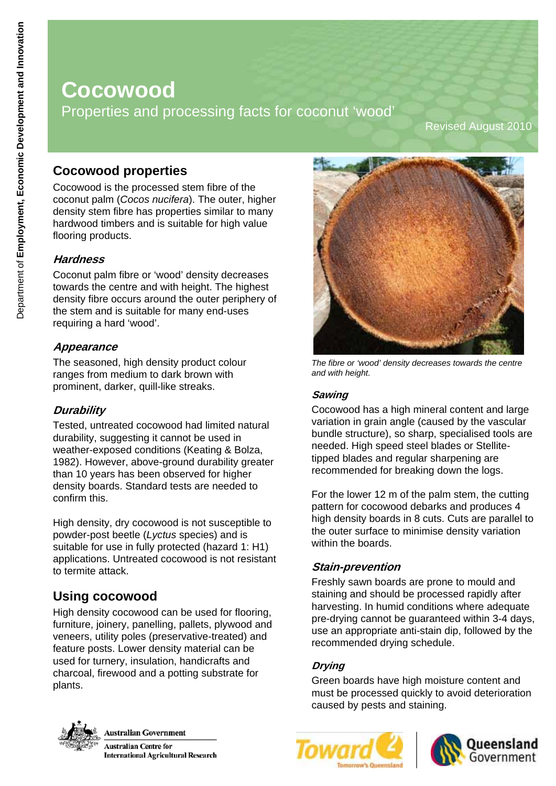# **Cocowood**  Properties and processing facts for coconut 'wood'

Revised August 2010

# **Cocowood properties**

Cocowood is the processed stem fibre of the coconut palm (*Cocos nucifera*). The outer, higher density stem fibre has properties similar to many hardwood timbers and is suitable for high value flooring products.

### **Hardness**

Coconut palm fibre or 'wood' density decreases towards the centre and with height. The highest density fibre occurs around the outer periphery of the stem and is suitable for many end-uses requiring a hard 'wood'.

#### **Appearance**

The seasoned, high density product colour ranges from medium to dark brown with prominent, darker, quill-like streaks.

### **Durability**

Tested, untreated cocowood had limited natural durability, suggesting it cannot be used in weather-exposed conditions (Keating & Bolza, 1982). However, above-ground durability greater than 10 years has been observed for higher density boards. Standard tests are needed to confirm this.

High density, dry cocowood is not susceptible to powder-post beetle (*Lyctus* species) and is suitable for use in fully protected (hazard 1: H1) applications. Untreated cocowood is not resistant to termite attack.

# **Using cocowood**

High density cocowood can be used for flooring, furniture, joinery, panelling, pallets, plywood and veneers, utility poles (preservative-treated) and feature posts. Lower density material can be used for turnery, insulation, handicrafts and charcoal, firewood and a potting substrate for plants.



*The fibre or 'wood' density decreases towards the centre and with height.* 

#### **Sawing**

Cocowood has a high mineral content and large variation in grain angle (caused by the vascular bundle structure), so sharp, specialised tools are needed. High speed steel blades or Stellitetipped blades and regular sharpening are recommended for breaking down the logs.

For the lower 12 m of the palm stem, the cutting pattern for cocowood debarks and produces 4 high density boards in 8 cuts. Cuts are parallel to the outer surface to minimise density variation within the boards.

### **Stain-prevention**

Freshly sawn boards are prone to mould and staining and should be processed rapidly after harvesting. In humid conditions where adequate pre-drying cannot be guaranteed within 3-4 days, use an appropriate anti-stain dip, followed by the recommended drying schedule.

### **Drying**

Green boards have high moisture content and must be processed quickly to avoid deterioration caused by pests and staining.



**Australian Government** 

**Australian Centre for International Agricultural Research** 



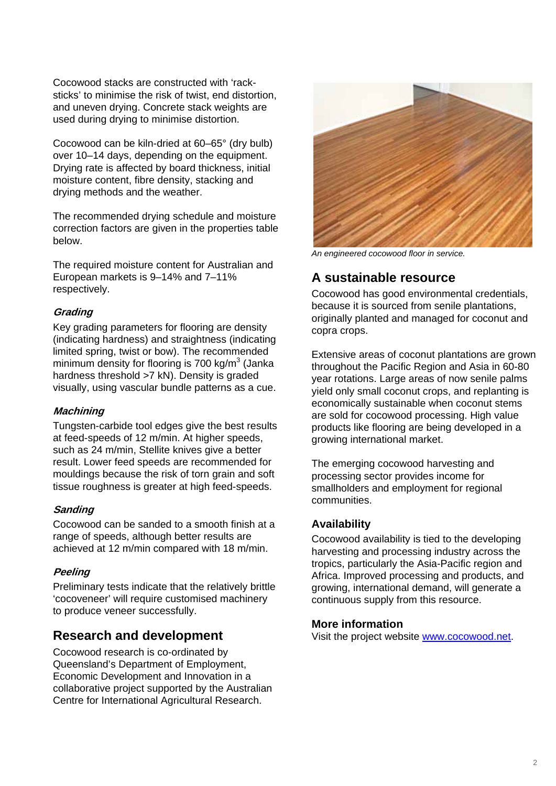Cocowood stacks are constructed with 'racksticks' to minimise the risk of twist, end distortion, and uneven drying. Concrete stack weights are used during drying to minimise distortion.

Cocowood can be kiln-dried at 60–65° (dry bulb) over 10–14 days, depending on the equipment. Drying rate is affected by board thickness, initial moisture content, fibre density, stacking and drying methods and the weather.

The recommended drying schedule and moisture correction factors are given in the properties table below.

The required moisture content for Australian and European markets is 9–14% and 7–11% respectively.

#### **Grading**

Key grading parameters for flooring are density (indicating hardness) and straightness (indicating limited spring, twist or bow). The recommended minimum density for flooring is 700 kg/m $3$  (Janka hardness threshold >7 kN). Density is graded visually, using vascular bundle patterns as a cue.

#### **Machining**

Tungsten-carbide tool edges give the best results at feed-speeds of 12 m/min. At higher speeds, such as 24 m/min, Stellite knives give a better result. Lower feed speeds are recommended for mouldings because the risk of torn grain and soft tissue roughness is greater at high feed-speeds.

#### **Sanding**

Cocowood can be sanded to a smooth finish at a **Availability**  range of speeds, although better results are range of speeds, although better results are expression corresponding achieved at 12 m/min compared with 18 m/min.

#### **Peeling**

Preliminary tests indicate that the relatively brittle 'cocoveneer' will require customised machinery to produce veneer successfully.

## **Research and development**

Cocowood research is co-ordinated by Queensland's Department of Employment, Economic Development and Innovation in a collaborative project supported by the Australian Centre for International Agricultural Research.



*An engineered cocowood floor in service.* 

# **A sustainable resource**

Cocowood has good environmental credentials, because it is sourced from senile plantations, originally planted and managed for coconut and copra crops.

Extensive areas of coconut plantations are grown throughout the Pacific Region and Asia in 60-80 year rotations. Large areas of now senile palms yield only small coconut crops, and replanting is economically sustainable when coconut stems are sold for cocowood processing. High value products like flooring are being developed in a growing international market.

The emerging cocowood harvesting and processing sector provides income for smallholders and employment for regional communities.

harvesting and processing industry across the tropics, particularly the Asia-Pacific region and Africa. Improved processing and products, and growing, international demand, will generate a continuous supply from this resource.

#### **More information**

Visit the project website [www.cocowood.net](http://www.cocowood.net/).